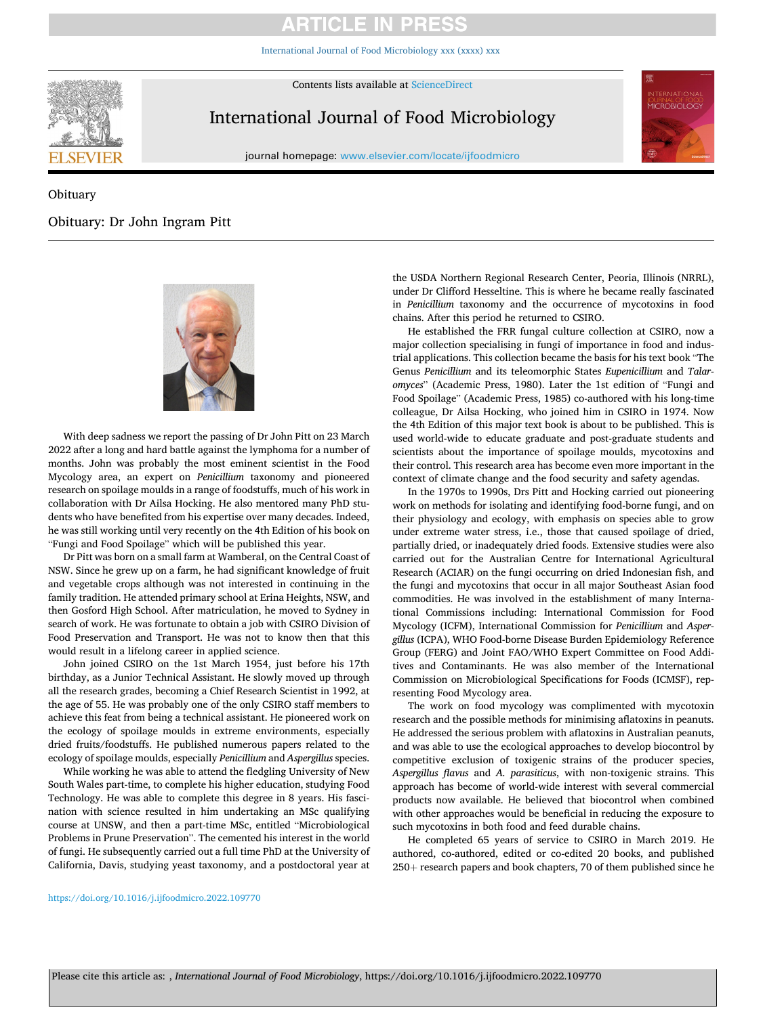## **ARTICLE IN PRES**

[International Journal of Food Microbiology xxx \(xxxx\) xxx](https://doi.org/10.1016/j.ijfoodmicro.2022.109770)



Contents lists available at [ScienceDirect](www.sciencedirect.com/science/journal/01681605)

# International Journal of Food Microbiology

journal homepage: [www.elsevier.com/locate/ijfoodmicro](https://www.elsevier.com/locate/ijfoodmicro)



### **Obituary**

### Obituary: Dr John Ingram Pitt



With deep sadness we report the passing of Dr John Pitt on 23 March 2022 after a long and hard battle against the lymphoma for a number of months. John was probably the most eminent scientist in the Food Mycology area, an expert on *Penicillium* taxonomy and pioneered research on spoilage moulds in a range of foodstuffs, much of his work in collaboration with Dr Ailsa Hocking. He also mentored many PhD students who have benefited from his expertise over many decades. Indeed, he was still working until very recently on the 4th Edition of his book on "Fungi and Food Spoilage" which will be published this year.

Dr Pitt was born on a small farm at Wamberal, on the Central Coast of NSW. Since he grew up on a farm, he had significant knowledge of fruit and vegetable crops although was not interested in continuing in the family tradition. He attended primary school at Erina Heights, NSW, and then Gosford High School. After matriculation, he moved to Sydney in search of work. He was fortunate to obtain a job with CSIRO Division of Food Preservation and Transport. He was not to know then that this would result in a lifelong career in applied science.

John joined CSIRO on the 1st March 1954, just before his 17th birthday, as a Junior Technical Assistant. He slowly moved up through all the research grades, becoming a Chief Research Scientist in 1992, at the age of 55. He was probably one of the only CSIRO staff members to achieve this feat from being a technical assistant. He pioneered work on the ecology of spoilage moulds in extreme environments, especially dried fruits/foodstuffs. He published numerous papers related to the ecology of spoilage moulds, especially *Penicillium* and *Aspergillus* species.

While working he was able to attend the fledgling University of New South Wales part-time, to complete his higher education, studying Food Technology. He was able to complete this degree in 8 years. His fascination with science resulted in him undertaking an MSc qualifying course at UNSW, and then a part-time MSc, entitled "Microbiological Problems in Prune Preservation". The cemented his interest in the world of fungi. He subsequently carried out a full time PhD at the University of California, Davis, studying yeast taxonomy, and a postdoctoral year at

the USDA Northern Regional Research Center, Peoria, Illinois (NRRL), under Dr Clifford Hesseltine. This is where he became really fascinated in *Penicillium* taxonomy and the occurrence of mycotoxins in food chains. After this period he returned to CSIRO.

He established the FRR fungal culture collection at CSIRO, now a major collection specialising in fungi of importance in food and industrial applications. This collection became the basis for his text book "The Genus *Penicillium* and its teleomorphic States *Eupenicillium* and *Talaromyces*" (Academic Press, 1980). Later the 1st edition of "Fungi and Food Spoilage" (Academic Press, 1985) co-authored with his long-time colleague, Dr Ailsa Hocking, who joined him in CSIRO in 1974. Now the 4th Edition of this major text book is about to be published. This is used world-wide to educate graduate and post-graduate students and scientists about the importance of spoilage moulds, mycotoxins and their control. This research area has become even more important in the context of climate change and the food security and safety agendas.

In the 1970s to 1990s, Drs Pitt and Hocking carried out pioneering work on methods for isolating and identifying food-borne fungi, and on their physiology and ecology, with emphasis on species able to grow under extreme water stress, i.e., those that caused spoilage of dried, partially dried, or inadequately dried foods. Extensive studies were also carried out for the Australian Centre for International Agricultural Research (ACIAR) on the fungi occurring on dried Indonesian fish, and the fungi and mycotoxins that occur in all major Southeast Asian food commodities. He was involved in the establishment of many International Commissions including: International Commission for Food Mycology (ICFM), International Commission for *Penicillium* and *Aspergillus* (ICPA), WHO Food-borne Disease Burden Epidemiology Reference Group (FERG) and Joint FAO/WHO Expert Committee on Food Additives and Contaminants. He was also member of the International Commission on Microbiological Specifications for Foods (ICMSF), representing Food Mycology area.

The work on food mycology was complimented with mycotoxin research and the possible methods for minimising aflatoxins in peanuts. He addressed the serious problem with aflatoxins in Australian peanuts, and was able to use the ecological approaches to develop biocontrol by competitive exclusion of toxigenic strains of the producer species, *Aspergillus flavus* and *A. parasiticus*, with non-toxigenic strains. This approach has become of world-wide interest with several commercial products now available. He believed that biocontrol when combined with other approaches would be beneficial in reducing the exposure to such mycotoxins in both food and feed durable chains.

He completed 65 years of service to CSIRO in March 2019. He authored, co-authored, edited or co-edited 20 books, and published 250+ research papers and book chapters, 70 of them published since he

#### <https://doi.org/10.1016/j.ijfoodmicro.2022.109770>